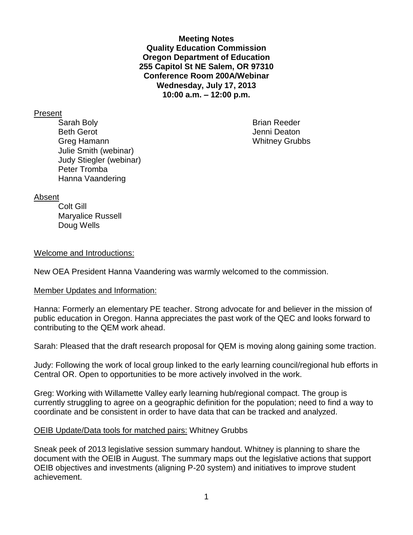**Meeting Notes Quality Education Commission Oregon Department of Education 255 Capitol St NE Salem, OR 97310 Conference Room 200A/Webinar Wednesday, July 17, 2013 10:00 a.m. – 12:00 p.m.**

#### Present

Sarah Boly **Brian Reeder Brian Reeder** Beth Gerot **Gerot** Communication of the United States of the United States of the United States of the United States of the United States of the United States of the United States of the United States of the United States Greg Hamann Whitney Grubbs Julie Smith (webinar) Judy Stiegler (webinar) Peter Tromba Hanna Vaandering

### Absent

Colt Gill Maryalice Russell Doug Wells

### Welcome and Introductions:

New OEA President Hanna Vaandering was warmly welcomed to the commission.

#### Member Updates and Information:

Hanna: Formerly an elementary PE teacher. Strong advocate for and believer in the mission of public education in Oregon. Hanna appreciates the past work of the QEC and looks forward to contributing to the QEM work ahead.

Sarah: Pleased that the draft research proposal for QEM is moving along gaining some traction.

Judy: Following the work of local group linked to the early learning council/regional hub efforts in Central OR. Open to opportunities to be more actively involved in the work.

Greg: Working with Willamette Valley early learning hub/regional compact. The group is currently struggling to agree on a geographic definition for the population; need to find a way to coordinate and be consistent in order to have data that can be tracked and analyzed.

### OEIB Update/Data tools for matched pairs: Whitney Grubbs

Sneak peek of 2013 legislative session summary handout. Whitney is planning to share the document with the OEIB in August. The summary maps out the legislative actions that support OEIB objectives and investments (aligning P-20 system) and initiatives to improve student achievement.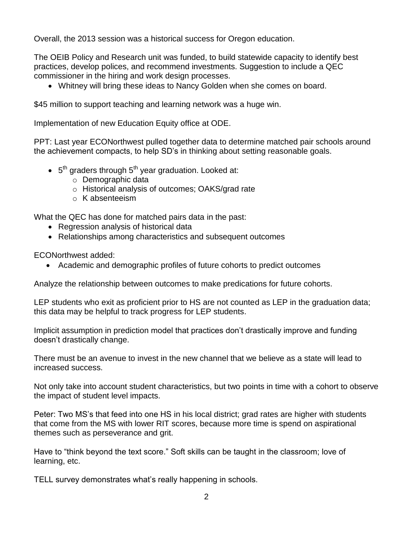Overall, the 2013 session was a historical success for Oregon education.

The OEIB Policy and Research unit was funded, to build statewide capacity to identify best practices, develop polices, and recommend investments. Suggestion to include a QEC commissioner in the hiring and work design processes.

Whitney will bring these ideas to Nancy Golden when she comes on board.

\$45 million to support teaching and learning network was a huge win.

Implementation of new Education Equity office at ODE.

PPT: Last year ECONorthwest pulled together data to determine matched pair schools around the achievement compacts, to help SD's in thinking about setting reasonable goals.

- $\bullet$  5<sup>th</sup> graders through 5<sup>th</sup> year graduation. Looked at:
	- o Demographic data
	- o Historical analysis of outcomes; OAKS/grad rate
	- o K absenteeism

What the QEC has done for matched pairs data in the past:

- Regression analysis of historical data
- Relationships among characteristics and subsequent outcomes

ECONorthwest added:

Academic and demographic profiles of future cohorts to predict outcomes

Analyze the relationship between outcomes to make predications for future cohorts.

LEP students who exit as proficient prior to HS are not counted as LEP in the graduation data; this data may be helpful to track progress for LEP students.

Implicit assumption in prediction model that practices don't drastically improve and funding doesn't drastically change.

There must be an avenue to invest in the new channel that we believe as a state will lead to increased success.

Not only take into account student characteristics, but two points in time with a cohort to observe the impact of student level impacts.

Peter: Two MS's that feed into one HS in his local district; grad rates are higher with students that come from the MS with lower RIT scores, because more time is spend on aspirational themes such as perseverance and grit.

Have to "think beyond the text score." Soft skills can be taught in the classroom; love of learning, etc.

TELL survey demonstrates what's really happening in schools.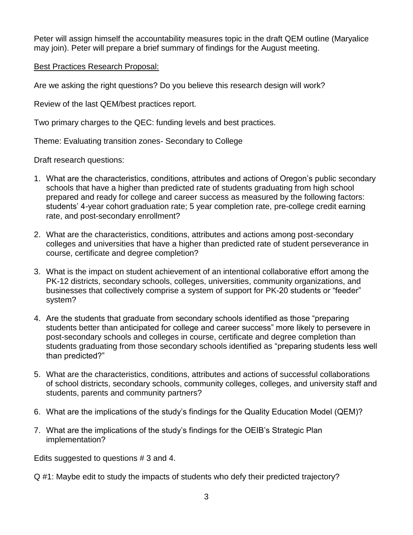Peter will assign himself the accountability measures topic in the draft QEM outline (Maryalice may join). Peter will prepare a brief summary of findings for the August meeting.

# Best Practices Research Proposal:

Are we asking the right questions? Do you believe this research design will work?

Review of the last QEM/best practices report.

Two primary charges to the QEC: funding levels and best practices.

Theme: Evaluating transition zones- Secondary to College

Draft research questions:

- 1. What are the characteristics, conditions, attributes and actions of Oregon's public secondary schools that have a higher than predicted rate of students graduating from high school prepared and ready for college and career success as measured by the following factors: students' 4-year cohort graduation rate; 5 year completion rate, pre-college credit earning rate, and post-secondary enrollment?
- 2. What are the characteristics, conditions, attributes and actions among post-secondary colleges and universities that have a higher than predicted rate of student perseverance in course, certificate and degree completion?
- 3. What is the impact on student achievement of an intentional collaborative effort among the PK-12 districts, secondary schools, colleges, universities, community organizations, and businesses that collectively comprise a system of support for PK-20 students or "feeder" system?
- 4. Are the students that graduate from secondary schools identified as those "preparing students better than anticipated for college and career success" more likely to persevere in post-secondary schools and colleges in course, certificate and degree completion than students graduating from those secondary schools identified as "preparing students less well than predicted?"
- 5. What are the characteristics, conditions, attributes and actions of successful collaborations of school districts, secondary schools, community colleges, colleges, and university staff and students, parents and community partners?
- 6. What are the implications of the study's findings for the Quality Education Model (QEM)?
- 7. What are the implications of the study's findings for the OEIB's Strategic Plan implementation?

Edits suggested to questions # 3 and 4.

Q #1: Maybe edit to study the impacts of students who defy their predicted trajectory?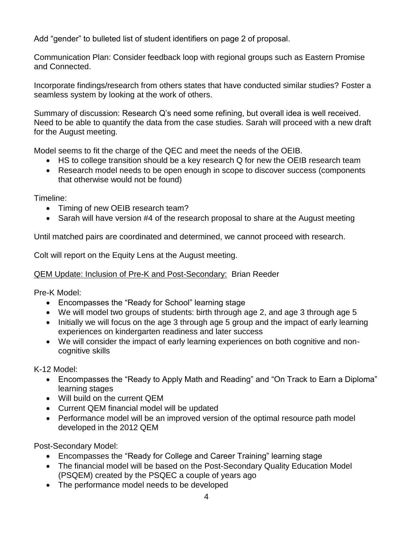Add "gender" to bulleted list of student identifiers on page 2 of proposal.

Communication Plan: Consider feedback loop with regional groups such as Eastern Promise and Connected.

Incorporate findings/research from others states that have conducted similar studies? Foster a seamless system by looking at the work of others.

Summary of discussion: Research Q's need some refining, but overall idea is well received. Need to be able to quantify the data from the case studies. Sarah will proceed with a new draft for the August meeting.

Model seems to fit the charge of the QEC and meet the needs of the OEIB.

- HS to college transition should be a key research Q for new the OEIB research team
- Research model needs to be open enough in scope to discover success (components that otherwise would not be found)

Timeline:

- Timing of new OEIB research team?
- Sarah will have version #4 of the research proposal to share at the August meeting

Until matched pairs are coordinated and determined, we cannot proceed with research.

Colt will report on the Equity Lens at the August meeting.

# QEM Update: Inclusion of Pre-K and Post-Secondary: Brian Reeder

Pre-K Model:

- Encompasses the "Ready for School" learning stage
- We will model two groups of students: birth through age 2, and age 3 through age 5
- Initially we will focus on the age 3 through age 5 group and the impact of early learning experiences on kindergarten readiness and later success
- We will consider the impact of early learning experiences on both cognitive and noncognitive skills

K-12 Model:

- Encompasses the "Ready to Apply Math and Reading" and "On Track to Earn a Diploma" learning stages
- Will build on the current QEM
- Current QEM financial model will be updated
- Performance model will be an improved version of the optimal resource path model developed in the 2012 QEM

Post-Secondary Model:

- Encompasses the "Ready for College and Career Training" learning stage
- The financial model will be based on the Post-Secondary Quality Education Model (PSQEM) created by the PSQEC a couple of years ago
- The performance model needs to be developed